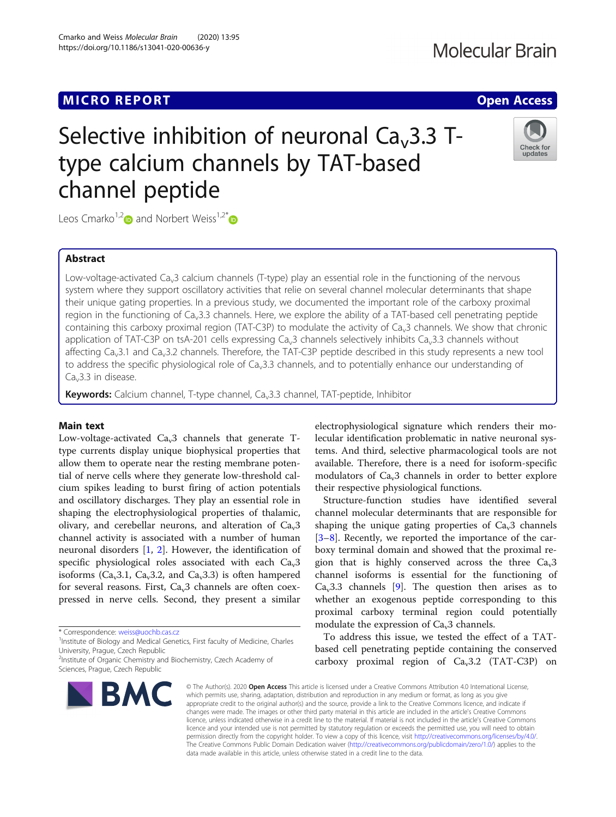# Selective inhibition of neuronal  $Ca<sub>v</sub>3.3$  Ttype calcium channels by TAT-based channel peptide



Leos Cmarko<sup>1,2</sup> and Norbert Weiss<sup>1,2[\\*](https://orcid.org/0000-0002-0040-1109)</sup>

Cmarko and Weiss Molecular Brain (2020) 13:95 https://doi.org/10.1186/s13041-020-00636-y

## Abstract

Low-voltage-activated Ca<sub>v</sub>3 calcium channels (T-type) play an essential role in the functioning of the nervous system where they support oscillatory activities that relie on several channel molecular determinants that shape their unique gating properties. In a previous study, we documented the important role of the carboxy proximal region in the functioning of Ca<sub>v</sub>3.3 channels. Here, we explore the ability of a TAT-based cell penetrating peptide containing this carboxy proximal region (TAT-C3P) to modulate the activity of Ca<sub>v</sub>3 channels. We show that chronic application of TAT-C3P on tsA-201 cells expressing Ca<sub>v3</sub> channels selectively inhibits Ca<sub>v3</sub>.3 channels without affecting Ca<sub>v</sub>3.1 and Ca<sub>v</sub>3.2 channels. Therefore, the TAT-C3P peptide described in this study represents a new tool to address the specific physiological role of  $Ca<sub>v</sub>3.3$  channels, and to potentially enhance our understanding of  $Ca<sub>v</sub>3.3$  in disease.

Keywords: Calcium channel, T-type channel, Ca<sub>v</sub>3.3 channel, TAT-peptide, Inhibitor

### Main text

Low-voltage-activated  $Ca<sub>v</sub>3$  channels that generate Ttype currents display unique biophysical properties that allow them to operate near the resting membrane potential of nerve cells where they generate low-threshold calcium spikes leading to burst firing of action potentials and oscillatory discharges. They play an essential role in shaping the electrophysiological properties of thalamic, olivary, and cerebellar neurons, and alteration of  $Ca<sub>3</sub>$ channel activity is associated with a number of human neuronal disorders [\[1](#page-2-0), [2\]](#page-2-0). However, the identification of specific physiological roles associated with each  $Ca<sub>v</sub>3$ isoforms ( $Ca<sub>v</sub>3.1$ ,  $Ca<sub>v</sub>3.2$ , and  $Ca<sub>v</sub>3.3$ ) is often hampered for several reasons. First,  $Ca<sub>v</sub>3$  channels are often coexpressed in nerve cells. Second, they present a similar

\* Correspondence: [weiss@uochb.cas.cz](mailto:weiss@uochb.cas.cz) <sup>1</sup>

<sup>1</sup>Institute of Biology and Medical Genetics, First faculty of Medicine, Charles University, Prague, Czech Republic

<sup>2</sup>Institute of Organic Chemistry and Biochemistry, Czech Academy of Sciences, Prague, Czech Republic



electrophysiological signature which renders their molecular identification problematic in native neuronal systems. And third, selective pharmacological tools are not available. Therefore, there is a need for isoform-specific modulators of  $Ca<sub>v</sub>3$  channels in order to better explore their respective physiological functions.

Structure-function studies have identified several channel molecular determinants that are responsible for shaping the unique gating properties of  $Ca<sub>v</sub>3$  channels [[3](#page-2-0)–[8\]](#page-2-0). Recently, we reported the importance of the carboxy terminal domain and showed that the proximal region that is highly conserved across the three  $Ca<sub>v</sub>3$ channel isoforms is essential for the functioning of  $Ca<sub>v</sub>3.3$  channels [\[9](#page-2-0)]. The question then arises as to whether an exogenous peptide corresponding to this proximal carboxy terminal region could potentially modulate the expression of  $Ca<sub>v</sub>3$  channels.

To address this issue, we tested the effect of a TATbased cell penetrating peptide containing the conserved carboxy proximal region of  $Ca<sub>v</sub>3.2$  (TAT-C3P) on

© The Author(s), 2020 **Open Access** This article is licensed under a Creative Commons Attribution 4.0 International License, which permits use, sharing, adaptation, distribution and reproduction in any medium or format, as long as you give appropriate credit to the original author(s) and the source, provide a link to the Creative Commons licence, and indicate if changes were made. The images or other third party material in this article are included in the article's Creative Commons licence, unless indicated otherwise in a credit line to the material. If material is not included in the article's Creative Commons licence and your intended use is not permitted by statutory regulation or exceeds the permitted use, you will need to obtain permission directly from the copyright holder. To view a copy of this licence, visit [http://creativecommons.org/licenses/by/4.0/.](http://creativecommons.org/licenses/by/4.0/) The Creative Commons Public Domain Dedication waiver [\(http://creativecommons.org/publicdomain/zero/1.0/](http://creativecommons.org/publicdomain/zero/1.0/)) applies to the data made available in this article, unless otherwise stated in a credit line to the data.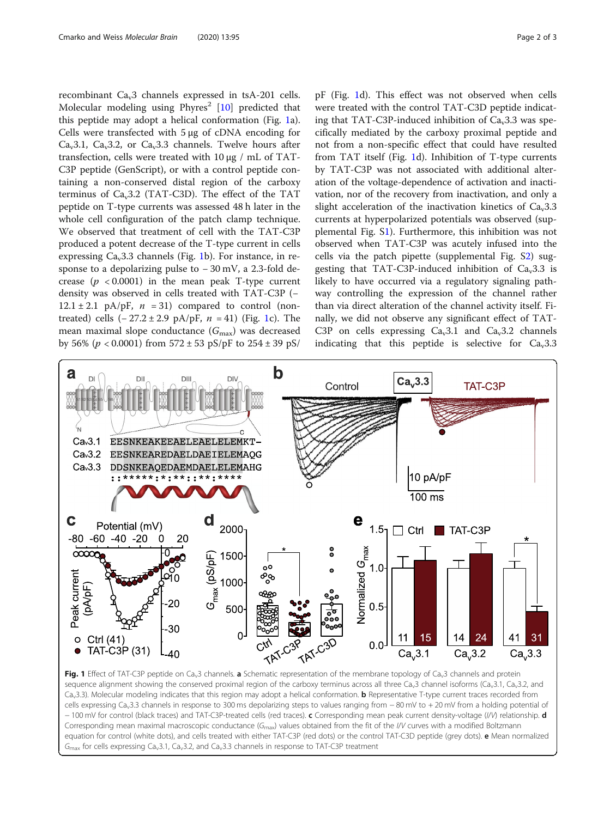<span id="page-1-0"></span>recombinant Cav3 channels expressed in tsA-201 cells. Molecular modeling using  $Phyres<sup>2</sup>$  [[10\]](#page-2-0) predicted that this peptide may adopt a helical conformation (Fig. 1a). Cells were transfected with 5 μg of cDNA encoding for Ca<sub>v</sub>3.1, Ca<sub>v</sub>3.2, or Ca<sub>v</sub>3.3 channels. Twelve hours after transfection, cells were treated with 10 μg / mL of TAT-C3P peptide (GenScript), or with a control peptide containing a non-conserved distal region of the carboxy terminus of  $Ca<sub>v</sub>3.2$  (TAT-C3D). The effect of the TAT peptide on T-type currents was assessed 48 h later in the whole cell configuration of the patch clamp technique. We observed that treatment of cell with the TAT-C3P produced a potent decrease of the T-type current in cells expressing  $Ca<sub>v</sub>3.3$  channels (Fig. 1b). For instance, in response to a depolarizing pulse to −30 mV, a 2.3-fold decrease  $(p \lt 0.0001)$  in the mean peak T-type current density was observed in cells treated with TAT-C3P (−  $12.1 \pm 2.1$  pA/pF,  $n = 31$ ) compared to control (nontreated) cells  $(-27.2 \pm 2.9 \text{ pA/pF}, n = 41)$  (Fig. 1c). The mean maximal slope conductance  $(G_{\text{max}})$  was decreased by 56% ( $p < 0.0001$ ) from 572 ± 53 pS/pF to 254 ± 39 pS/

pF (Fig. 1d). This effect was not observed when cells were treated with the control TAT-C3D peptide indicating that  $TAT-C3P$ -induced inhibition of  $Ca<sub>v</sub>3.3$  was specifically mediated by the carboxy proximal peptide and not from a non-specific effect that could have resulted from TAT itself (Fig. 1d). Inhibition of T-type currents by TAT-C3P was not associated with additional alteration of the voltage-dependence of activation and inactivation, nor of the recovery from inactivation, and only a slight acceleration of the inactivation kinetics of  $Ca<sub>v</sub>3.3$ currents at hyperpolarized potentials was observed (supplemental Fig. [S1\)](#page-2-0). Furthermore, this inhibition was not observed when TAT-C3P was acutely infused into the cells via the patch pipette (supplemental Fig.  $S<sub>2</sub>$ ) suggesting that TAT-C3P-induced inhibition of  $Ca<sub>v</sub>3.3$  is likely to have occurred via a regulatory signaling pathway controlling the expression of the channel rather than via direct alteration of the channel activity itself. Finally, we did not observe any significant effect of TAT-C3P on cells expressing  $Ca<sub>v</sub>3.1$  and  $Ca<sub>v</sub>3.2$  channels indicating that this peptide is selective for  $Ca<sub>v</sub>3.3$ 



Fig. 1 Effect of TAT-C3P peptide on Ca<sub>v</sub>3 channels. a Schematic representation of the membrane topology of Ca<sub>v</sub>3 channels and protein sequence alignment showing the conserved proximal region of the carboxy terminus across all three Ca<sub>v</sub>3 channel isoforms (Ca<sub>v</sub>3.1, Ca<sub>v</sub>3.2, and Ca<sub>v</sub>3.3). Molecular modeling indicates that this region may adopt a helical conformation. **b** Representative T-type current traces recorded from cells expressing Ca<sub>v</sub>3.3 channels in response to 300 ms depolarizing steps to values ranging from − 80 mV to + 20 mV from a holding potential of − 100 mV for control (black traces) and TAT-C3P-treated cells (red traces). c Corresponding mean peak current density-voltage (I/V) relationship. d Corresponding mean maximal macroscopic conductance ( $G_{\text{max}}$ ) values obtained from the fit of the I/V curves with a modified Boltzmann equation for control (white dots), and cells treated with either TAT-C3P (red dots) or the control TAT-C3D peptide (grey dots). e Mean normalized  $G<sub>max</sub>$  for cells expressing Ca<sub>v</sub>3.1, Ca<sub>v</sub>3.2, and Ca<sub>v</sub>3.3 channels in response to TAT-C3P treatment